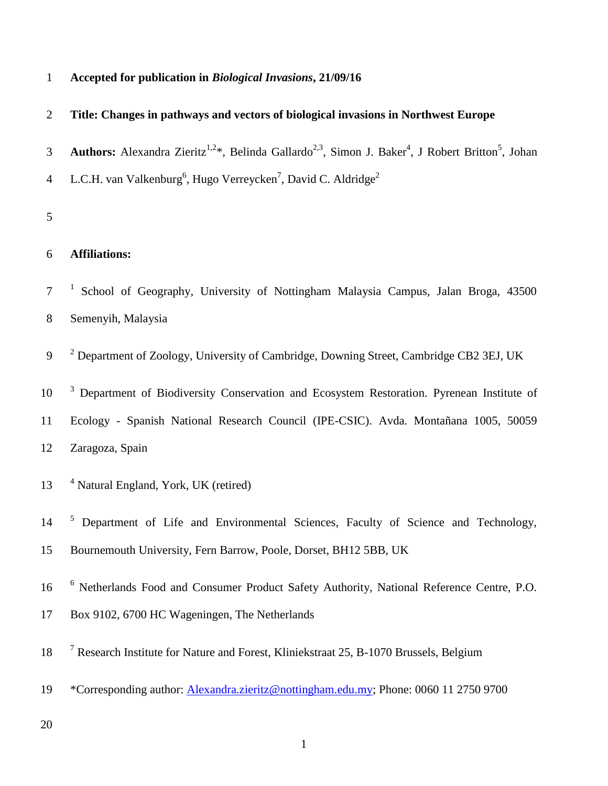## 1 **Accepted for publication in** *Biological Invasions***, 21/09/16**

| $\overline{2}$ | Title: Changes in pathways and vectors of biological invasions in Northwest Europe                                                                 |
|----------------|----------------------------------------------------------------------------------------------------------------------------------------------------|
| 3              | Authors: Alexandra Zieritz <sup>1,2*</sup> , Belinda Gallardo <sup>2,3</sup> , Simon J. Baker <sup>4</sup> , J Robert Britton <sup>5</sup> , Johan |
| $\overline{4}$ | L.C.H. van Valkenburg <sup>6</sup> , Hugo Verreycken <sup>7</sup> , David C. Aldridge <sup>2</sup>                                                 |
| 5              |                                                                                                                                                    |
| 6              | <b>Affiliations:</b>                                                                                                                               |
| 7              | School of Geography, University of Nottingham Malaysia Campus, Jalan Broga, 43500                                                                  |
| 8              | Semenyih, Malaysia                                                                                                                                 |
| 9              | <sup>2</sup> Department of Zoology, University of Cambridge, Downing Street, Cambridge CB2 3EJ, UK                                                 |
| 10             | <sup>3</sup> Department of Biodiversity Conservation and Ecosystem Restoration. Pyrenean Institute of                                              |
| 11             | Ecology - Spanish National Research Council (IPE-CSIC). Avda. Montañana 1005, 50059                                                                |
| 12             | Zaragoza, Spain                                                                                                                                    |
| 13             | <sup>4</sup> Natural England, York, UK (retired)                                                                                                   |
| 14             | <sup>5</sup> Department of Life and Environmental Sciences, Faculty of Science and Technology,                                                     |
| 15             | Bournemouth University, Fern Barrow, Poole, Dorset, BH12 5BB, UK                                                                                   |
| 16             | <sup>6</sup> Netherlands Food and Consumer Product Safety Authority, National Reference Centre, P.O.                                               |
| 17             | Box 9102, 6700 HC Wageningen, The Netherlands                                                                                                      |
| 18             | <sup>7</sup> Research Institute for Nature and Forest, Kliniekstraat 25, B-1070 Brussels, Belgium                                                  |
| 19             | *Corresponding author: Alexandra.zieritz@nottingham.edu.my; Phone: 0060 11 2750 9700                                                               |
| $\Omega$       |                                                                                                                                                    |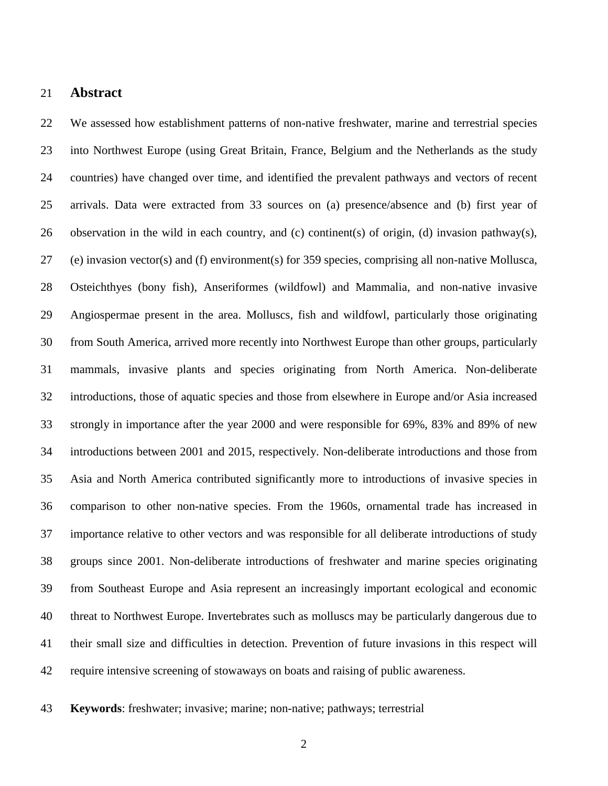#### **Abstract**

 We assessed how establishment patterns of non-native freshwater, marine and terrestrial species into Northwest Europe (using Great Britain, France, Belgium and the Netherlands as the study countries) have changed over time, and identified the prevalent pathways and vectors of recent arrivals. Data were extracted from 33 sources on (a) presence/absence and (b) first year of 26 observation in the wild in each country, and (c) continent(s) of origin, (d) invasion pathway(s), (e) invasion vector(s) and (f) environment(s) for 359 species, comprising all non-native Mollusca, Osteichthyes (bony fish), Anseriformes (wildfowl) and Mammalia, and non-native invasive Angiospermae present in the area. Molluscs, fish and wildfowl, particularly those originating from South America, arrived more recently into Northwest Europe than other groups, particularly mammals, invasive plants and species originating from North America. Non-deliberate introductions, those of aquatic species and those from elsewhere in Europe and/or Asia increased strongly in importance after the year 2000 and were responsible for 69%, 83% and 89% of new introductions between 2001 and 2015, respectively. Non-deliberate introductions and those from Asia and North America contributed significantly more to introductions of invasive species in comparison to other non-native species. From the 1960s, ornamental trade has increased in importance relative to other vectors and was responsible for all deliberate introductions of study groups since 2001. Non-deliberate introductions of freshwater and marine species originating from Southeast Europe and Asia represent an increasingly important ecological and economic threat to Northwest Europe. Invertebrates such as molluscs may be particularly dangerous due to their small size and difficulties in detection. Prevention of future invasions in this respect will require intensive screening of stowaways on boats and raising of public awareness.

- 
- **Keywords**: freshwater; invasive; marine; non-native; pathways; terrestrial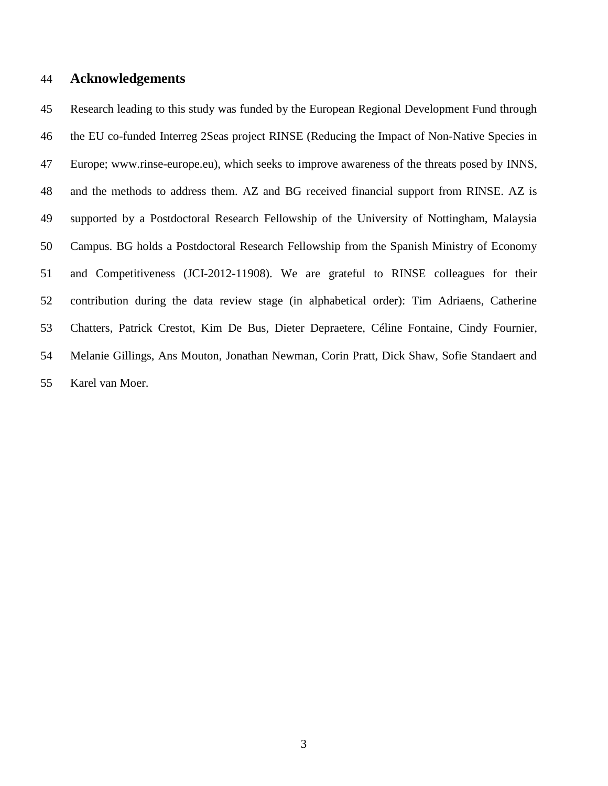## **Acknowledgements**

 Research leading to this study was funded by the European Regional Development Fund through the EU co-funded Interreg 2Seas project RINSE (Reducing the Impact of Non-Native Species in Europe; www.rinse-europe.eu), which seeks to improve awareness of the threats posed by INNS, and the methods to address them. AZ and BG received financial support from RINSE. AZ is supported by a Postdoctoral Research Fellowship of the University of Nottingham, Malaysia Campus. BG holds a Postdoctoral Research Fellowship from the Spanish Ministry of Economy and Competitiveness (JCI-2012-11908). We are grateful to RINSE colleagues for their contribution during the data review stage (in alphabetical order): Tim Adriaens, Catherine Chatters, Patrick Crestot, Kim De Bus, Dieter Depraetere, Céline Fontaine, Cindy Fournier, Melanie Gillings, Ans Mouton, Jonathan Newman, Corin Pratt, Dick Shaw, Sofie Standaert and Karel van Moer.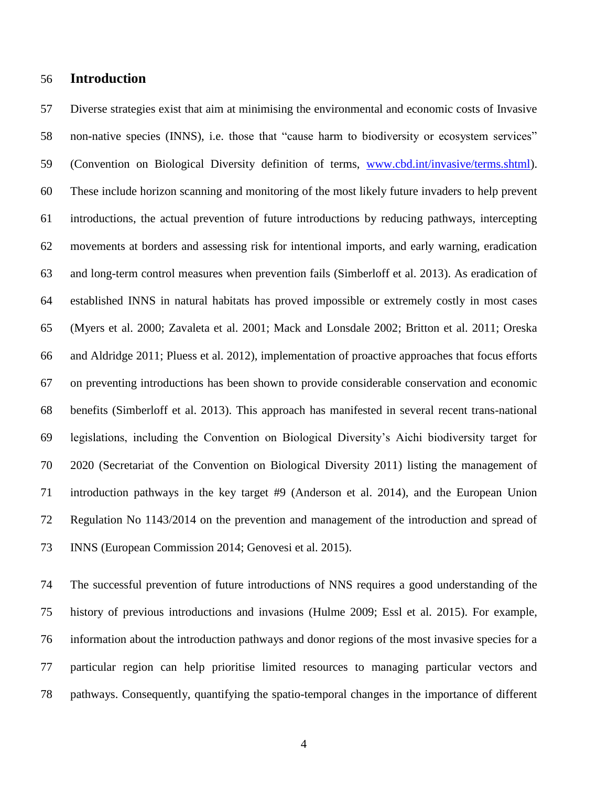## **Introduction**

 Diverse strategies exist that aim at minimising the environmental and economic costs of Invasive non-native species (INNS), i.e. those that "cause harm to biodiversity or ecosystem services" (Convention on Biological Diversity definition of terms, [www.cbd.int/invasive/terms.shtml\)](http://www.cbd.int/invasive/terms.shtml). These include horizon scanning and monitoring of the most likely future invaders to help prevent introductions, the actual prevention of future introductions by reducing pathways, intercepting movements at borders and assessing risk for intentional imports, and early warning, eradication and long-term control measures when prevention fails [\(Simberloff et al. 2013\)](#page-24-0). As eradication of established INNS in natural habitats has proved impossible or extremely costly in most cases [\(Myers et al. 2000;](#page-23-0) [Zavaleta et](#page-24-1) al. 2001; [Mack and Lonsdale 2002;](#page-22-0) [Britton et al. 2011;](#page-20-0) [Oreska](#page-23-1)  [and Aldridge 2011;](#page-23-1) [Pluess et al. 2012\)](#page-23-2), implementation of proactive approaches that focus efforts on preventing introductions has been shown to provide considerable conservation and economic benefits [\(Simberloff et al. 2013\)](#page-24-0). This approach has manifested in several recent trans-national legislations, including the Convention on Biological Diversity's Aichi biodiversity target for 2020 [\(Secretariat of the Convention on Biological Diversity 2011\)](#page-23-3) listing the management of introduction pathways in the key target #9 [\(Anderson et al. 2014\)](#page-20-1), and the European Union Regulation No 1143/2014 on the prevention and management of the introduction and spread of INNS [\(European Commission 2014;](#page-20-2) [Genovesi et al. 2015\)](#page-21-0).

 The successful prevention of future introductions of NNS requires a good understanding of the history of previous introductions and invasions [\(Hulme 2009;](#page-21-1) [Essl et al. 2015\)](#page-20-3). For example, information about the introduction pathways and donor regions of the most invasive species for a particular region can help prioritise limited resources to managing particular vectors and pathways. Consequently, quantifying the spatio-temporal changes in the importance of different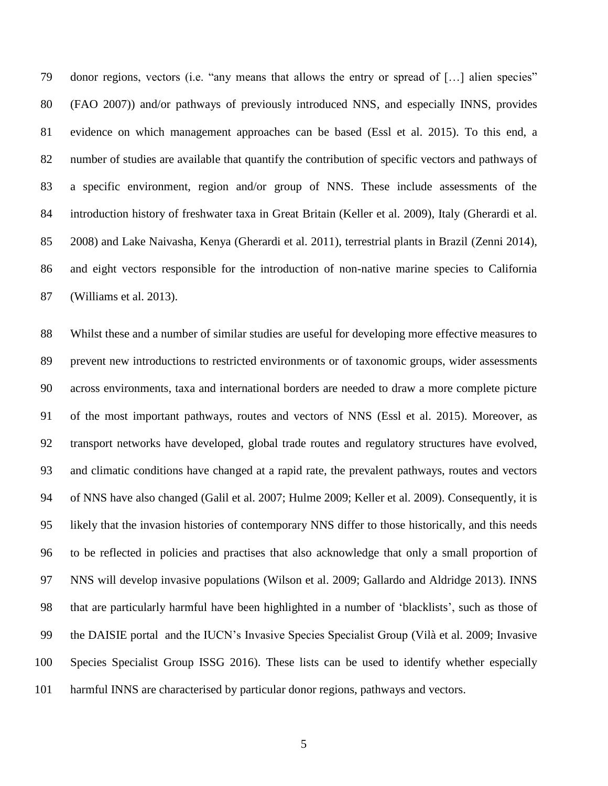donor regions, vectors (i.e. "any means that allows the entry or spread of […] alien species" (FAO 2007)) and/or pathways of previously introduced NNS, and especially INNS, provides evidence on which management approaches can be based [\(Essl et al. 2015\)](#page-20-3). To this end, a number of studies are available that quantify the contribution of specific vectors and pathways of a specific environment, region and/or group of NNS. These include assessments of the introduction history of freshwater taxa in Great Britain [\(Keller et al. 2009\)](#page-22-1), Italy [\(Gherardi et al.](#page-21-2)  [2008\)](#page-21-2) and Lake Naivasha, Kenya [\(Gherardi et al. 2011\)](#page-21-3), terrestrial plants in Brazil [\(Zenni 2014\)](#page-24-2), and eight vectors responsible for the introduction of non-native marine species to California [\(Williams et al. 2013\)](#page-24-3).

 Whilst these and a number of similar studies are useful for developing more effective measures to prevent new introductions to restricted environments or of taxonomic groups, wider assessments across environments, taxa and international borders are needed to draw a more complete picture of the most important pathways, routes and vectors of NNS [\(Essl et al. 2015\)](#page-20-3). Moreover, as transport networks have developed, global trade routes and regulatory structures have evolved, and climatic conditions have changed at a rapid rate, the prevalent pathways, routes and vectors of NNS have also changed [\(Galil et al. 2007;](#page-20-4) [Hulme 2009;](#page-21-1) [Keller et al. 2009\)](#page-22-1). Consequently, it is likely that the invasion histories of contemporary NNS differ to those historically, and this needs to be reflected in policies and practises that also acknowledge that only a small proportion of NNS will develop invasive populations [\(Wilson et al. 2009;](#page-24-4) [Gallardo and Aldridge 2013\)](#page-21-4). INNS that are particularly harmful have been highlighted in a number of 'blacklists', such as those of the DAISIE portal and the IUCN's Invasive Species Specialist Group [\(Vilà et al. 2009;](#page-24-5) [Invasive](#page-22-2)  [Species Specialist Group ISSG 2016\)](#page-22-2). These lists can be used to identify whether especially harmful INNS are characterised by particular donor regions, pathways and vectors.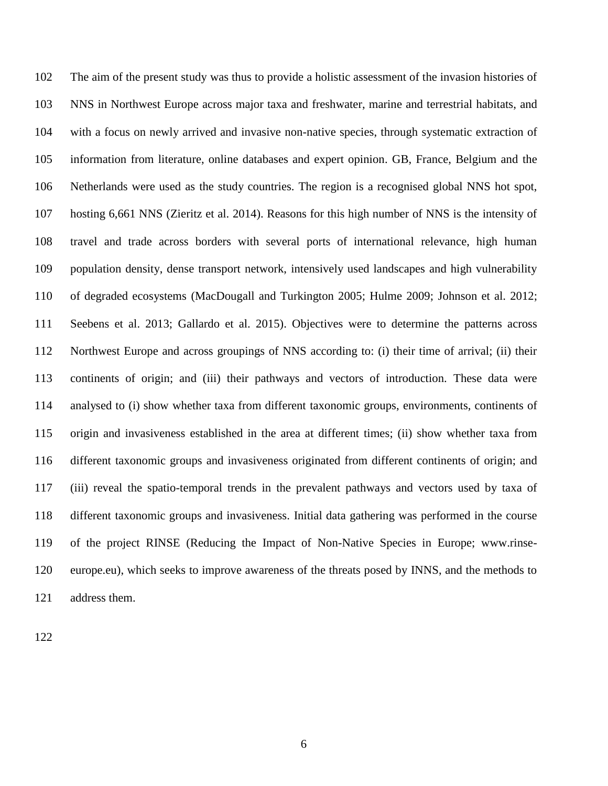The aim of the present study was thus to provide a holistic assessment of the invasion histories of NNS in Northwest Europe across major taxa and freshwater, marine and terrestrial habitats, and with a focus on newly arrived and invasive non-native species, through systematic extraction of information from literature, online databases and expert opinion. GB, France, Belgium and the Netherlands were used as the study countries. The region is a recognised global NNS hot spot, hosting 6,661 NNS [\(Zieritz et al. 2014\)](#page-24-6). Reasons for this high number of NNS is the intensity of travel and trade across borders with several ports of international relevance, high human population density, dense transport network, intensively used landscapes and high vulnerability of degraded ecosystems [\(MacDougall and Turkington 2005;](#page-22-3) [Hulme 2009;](#page-21-1) [Johnson et al. 2012;](#page-22-4) [Seebens et al. 2013;](#page-24-7) [Gallardo et al. 2015\)](#page-21-5). Objectives were to determine the patterns across Northwest Europe and across groupings of NNS according to: (i) their time of arrival; (ii) their continents of origin; and (iii) their pathways and vectors of introduction. These data were analysed to (i) show whether taxa from different taxonomic groups, environments, continents of origin and invasiveness established in the area at different times; (ii) show whether taxa from different taxonomic groups and invasiveness originated from different continents of origin; and (iii) reveal the spatio-temporal trends in the prevalent pathways and vectors used by taxa of different taxonomic groups and invasiveness. Initial data gathering was performed in the course of the project RINSE (Reducing the Impact of Non-Native Species in Europe; www.rinse- europe.eu), which seeks to improve awareness of the threats posed by INNS, and the methods to address them.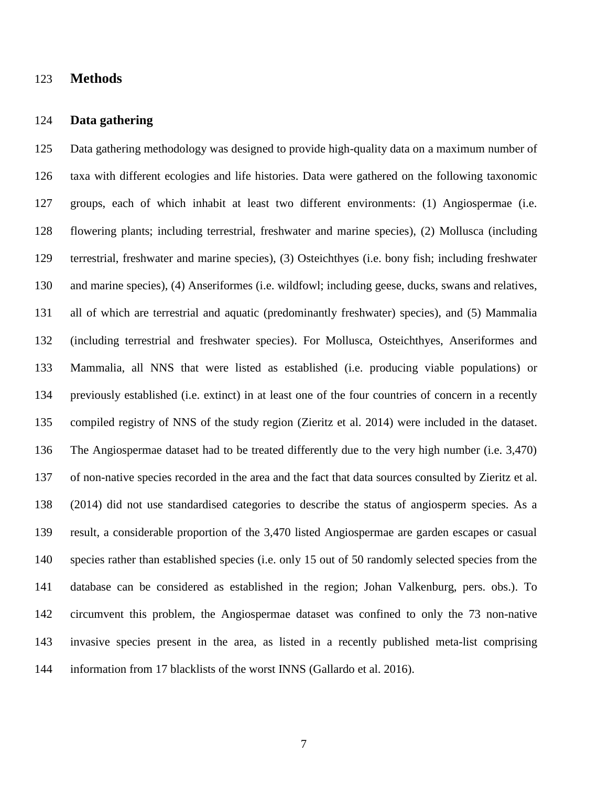## **Methods**

#### **Data gathering**

 Data gathering methodology was designed to provide high-quality data on a maximum number of taxa with different ecologies and life histories. Data were gathered on the following taxonomic groups, each of which inhabit at least two different environments: (1) Angiospermae (i.e. flowering plants; including terrestrial, freshwater and marine species), (2) Mollusca (including terrestrial, freshwater and marine species), (3) Osteichthyes (i.e. bony fish; including freshwater and marine species), (4) Anseriformes (i.e. wildfowl; including geese, ducks, swans and relatives, all of which are terrestrial and aquatic (predominantly freshwater) species), and (5) Mammalia (including terrestrial and freshwater species). For Mollusca, Osteichthyes, Anseriformes and Mammalia, all NNS that were listed as established (i.e. producing viable populations) or previously established (i.e. extinct) in at least one of the four countries of concern in a recently compiled registry of NNS of the study region [\(Zieritz et al. 2014\)](#page-24-6) were included in the dataset. The Angiospermae dataset had to be treated differently due to the very high number (i.e. 3,470) of non-native species recorded in the area and the fact that data sources consulted by [Zieritz et al.](#page-24-6)  (2014) did not use standardised categories to describe the status of angiosperm species. As a result, a considerable proportion of the 3,470 listed Angiospermae are garden escapes or casual species rather than established species (i.e. only 15 out of 50 randomly selected species from the database can be considered as established in the region; Johan Valkenburg, pers. obs.). To circumvent this problem, the Angiospermae dataset was confined to only the 73 non-native invasive species present in the area, as listed in a recently published meta-list comprising information from 17 blacklists of the worst INNS [\(Gallardo et al. 2016\)](#page-21-6).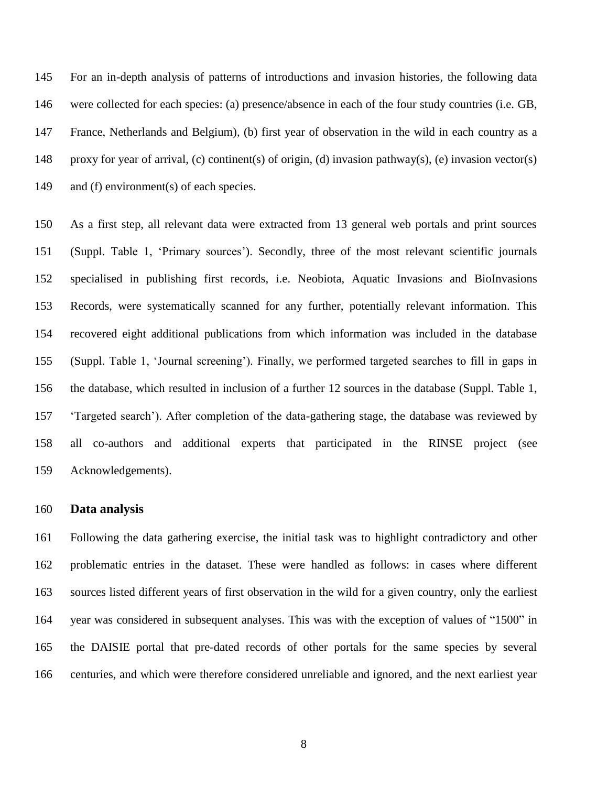For an in-depth analysis of patterns of introductions and invasion histories, the following data were collected for each species: (a) presence/absence in each of the four study countries (i.e. GB, France, Netherlands and Belgium), (b) first year of observation in the wild in each country as a proxy for year of arrival, (c) continent(s) of origin, (d) invasion pathway(s), (e) invasion vector(s) and (f) environment(s) of each species.

 As a first step, all relevant data were extracted from 13 general web portals and print sources (Suppl. Table 1, 'Primary sources'). Secondly, three of the most relevant scientific journals specialised in publishing first records, i.e. Neobiota, Aquatic Invasions and BioInvasions Records, were systematically scanned for any further, potentially relevant information. This recovered eight additional publications from which information was included in the database (Suppl. Table 1, 'Journal screening'). Finally, we performed targeted searches to fill in gaps in the database, which resulted in inclusion of a further 12 sources in the database (Suppl. Table 1, 'Targeted search'). After completion of the data-gathering stage, the database was reviewed by all co-authors and additional experts that participated in the RINSE project (see Acknowledgements).

#### **Data analysis**

 Following the data gathering exercise, the initial task was to highlight contradictory and other problematic entries in the dataset. These were handled as follows: in cases where different sources listed different years of first observation in the wild for a given country, only the earliest year was considered in subsequent analyses. This was with the exception of values of "1500" in the DAISIE portal that pre-dated records of other portals for the same species by several centuries, and which were therefore considered unreliable and ignored, and the next earliest year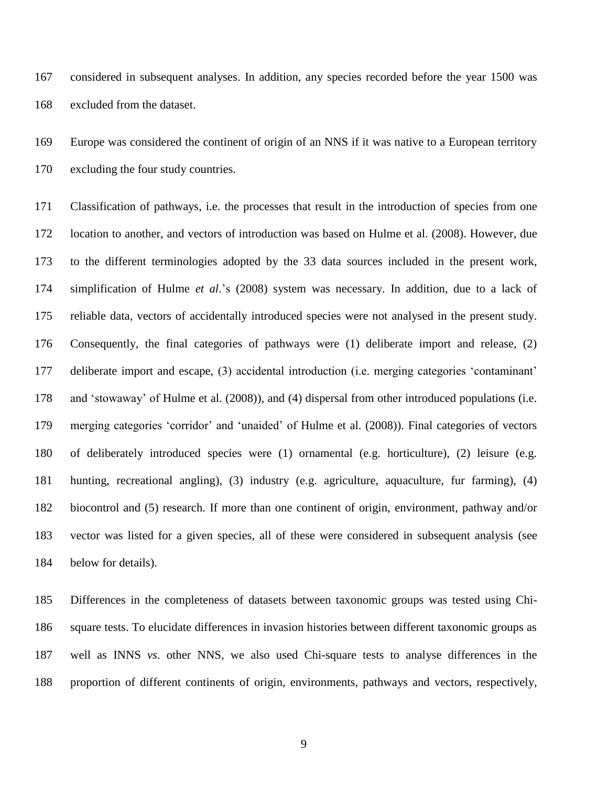considered in subsequent analyses. In addition, any species recorded before the year 1500 was excluded from the dataset.

 Europe was considered the continent of origin of an NNS if it was native to a European territory excluding the four study countries.

 Classification of pathways, i.e. the processes that result in the introduction of species from one location to another, and vectors of introduction was based on [Hulme et al. \(2008\).](#page-21-7) However, due to the different terminologies adopted by the 33 data sources included in the present work, simplification of Hulme *et al*.'s [\(2008\)](#page-21-7) system was necessary. In addition, due to a lack of reliable data, vectors of accidentally introduced species were not analysed in the present study. Consequently, the final categories of pathways were (1) deliberate import and release, (2) deliberate import and escape, (3) accidental introduction (i.e. merging categories 'contaminant' and 'stowaway' of [Hulme et al. \(2008\)\)](#page-21-7), and (4) dispersal from other introduced populations (i.e. merging categories 'corridor' and 'unaided' of [Hulme et al. \(2008\)\)](#page-21-7). Final categories of vectors of deliberately introduced species were (1) ornamental (e.g. horticulture), (2) leisure (e.g. hunting, recreational angling), (3) industry (e.g. agriculture, aquaculture, fur farming), (4) biocontrol and (5) research. If more than one continent of origin, environment, pathway and/or vector was listed for a given species, all of these were considered in subsequent analysis (see below for details).

 Differences in the completeness of datasets between taxonomic groups was tested using Chi- square tests. To elucidate differences in invasion histories between different taxonomic groups as well as INNS *vs*. other NNS, we also used Chi-square tests to analyse differences in the proportion of different continents of origin, environments, pathways and vectors, respectively,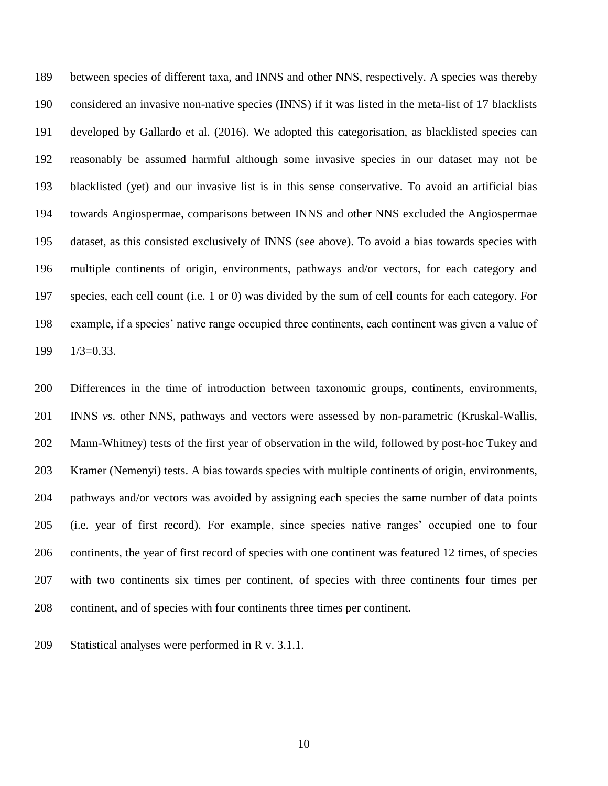between species of different taxa, and INNS and other NNS, respectively. A species was thereby considered an invasive non-native species (INNS) if it was listed in the meta-list of 17 blacklists developed by [Gallardo et al. \(2016\).](#page-21-6) We adopted this categorisation, as blacklisted species can reasonably be assumed harmful although some invasive species in our dataset may not be blacklisted (yet) and our invasive list is in this sense conservative. To avoid an artificial bias towards Angiospermae, comparisons between INNS and other NNS excluded the Angiospermae dataset, as this consisted exclusively of INNS (see above). To avoid a bias towards species with multiple continents of origin, environments, pathways and/or vectors, for each category and species, each cell count (i.e. 1 or 0) was divided by the sum of cell counts for each category. For example, if a species' native range occupied three continents, each continent was given a value of 1/3=0.33.

 Differences in the time of introduction between taxonomic groups, continents, environments, INNS *vs*. other NNS, pathways and vectors were assessed by non-parametric (Kruskal-Wallis, Mann-Whitney) tests of the first year of observation in the wild, followed by post-hoc Tukey and Kramer (Nemenyi) tests. A bias towards species with multiple continents of origin, environments, pathways and/or vectors was avoided by assigning each species the same number of data points (i.e. year of first record). For example, since species native ranges' occupied one to four continents, the year of first record of species with one continent was featured 12 times, of species with two continents six times per continent, of species with three continents four times per continent, and of species with four continents three times per continent.

Statistical analyses were performed in R v. 3.1.1.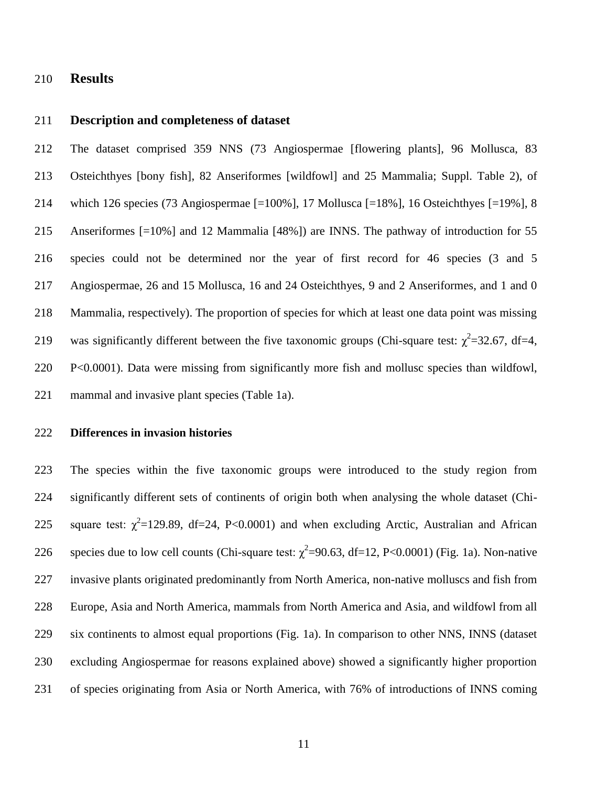## **Results**

#### **Description and completeness of dataset**

 The dataset comprised 359 NNS (73 Angiospermae [flowering plants], 96 Mollusca, 83 Osteichthyes [bony fish], 82 Anseriformes [wildfowl] and 25 Mammalia; Suppl. Table 2), of which 126 species (73 Angiospermae [=100%], 17 Mollusca [=18%], 16 Osteichthyes [=19%], 8 Anseriformes [=10%] and 12 Mammalia [48%]) are INNS. The pathway of introduction for 55 species could not be determined nor the year of first record for 46 species (3 and 5 Angiospermae, 26 and 15 Mollusca, 16 and 24 Osteichthyes, 9 and 2 Anseriformes, and 1 and 0 Mammalia, respectively). The proportion of species for which at least one data point was missing 219 was significantly different between the five taxonomic groups (Chi-square test:  $\chi^2$ =32.67, df=4, P<0.0001). Data were missing from significantly more fish and mollusc species than wildfowl, mammal and invasive plant species (Table 1a).

#### **Differences in invasion histories**

 The species within the five taxonomic groups were introduced to the study region from significantly different sets of continents of origin both when analysing the whole dataset (Chi-225 square test:  $\chi^2$ =129.89, df=24, P<0.0001) and when excluding Arctic, Australian and African 226 species due to low cell counts (Chi-square test:  $\chi^2$ =90.63, df=12, P<0.0001) (Fig. 1a). Non-native invasive plants originated predominantly from North America, non-native molluscs and fish from Europe, Asia and North America, mammals from North America and Asia, and wildfowl from all six continents to almost equal proportions (Fig. 1a). In comparison to other NNS, INNS (dataset excluding Angiospermae for reasons explained above) showed a significantly higher proportion of species originating from Asia or North America, with 76% of introductions of INNS coming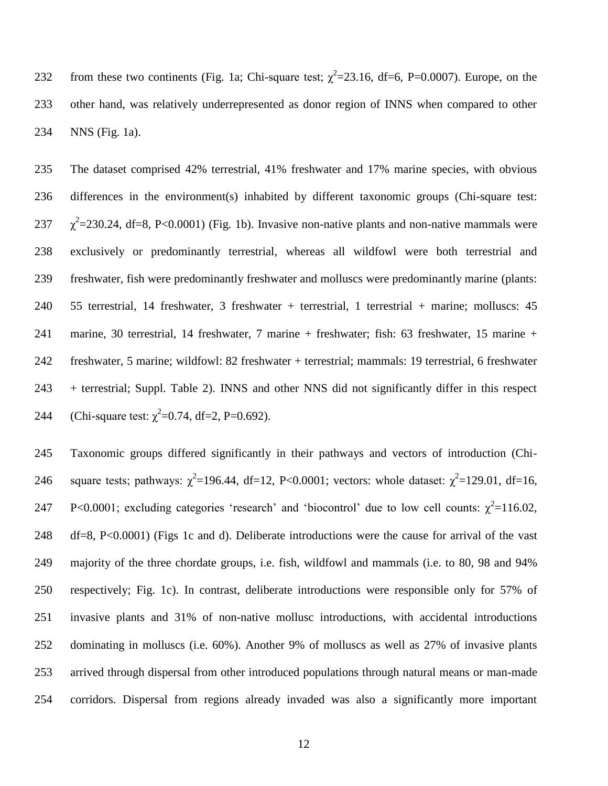232 from these two continents (Fig. 1a; Chi-square test;  $\chi^2$ =23.16, df=6, P=0.0007). Europe, on the other hand, was relatively underrepresented as donor region of INNS when compared to other NNS (Fig. 1a).

 The dataset comprised 42% terrestrial, 41% freshwater and 17% marine species, with obvious differences in the environment(s) inhabited by different taxonomic groups (Chi-square test:  $\chi^2$  = 230.24, df = 8, P < 0.0001) (Fig. 1b). Invasive non-native plants and non-native mammals were exclusively or predominantly terrestrial, whereas all wildfowl were both terrestrial and freshwater, fish were predominantly freshwater and molluscs were predominantly marine (plants: 55 terrestrial, 14 freshwater, 3 freshwater + terrestrial, 1 terrestrial + marine; molluscs: 45 marine, 30 terrestrial, 14 freshwater, 7 marine + freshwater; fish: 63 freshwater, 15 marine + freshwater, 5 marine; wildfowl: 82 freshwater + terrestrial; mammals: 19 terrestrial, 6 freshwater + terrestrial; Suppl. Table 2). INNS and other NNS did not significantly differ in this respect 244 (Chi-square test:  $\chi^2$ =0.74, df=2, P=0.692).

 Taxonomic groups differed significantly in their pathways and vectors of introduction (Chi-246 square tests; pathways:  $\chi^2$ =196.44, df=12, P<0.0001; vectors: whole dataset:  $\chi^2$ =129.01, df=16, 247 P<0.0001; excluding categories 'research' and 'biocontrol' due to low cell counts:  $\chi^2$ =116.02, df=8, P<0.0001) (Figs 1c and d). Deliberate introductions were the cause for arrival of the vast majority of the three chordate groups, i.e. fish, wildfowl and mammals (i.e. to 80, 98 and 94% respectively; Fig. 1c). In contrast, deliberate introductions were responsible only for 57% of invasive plants and 31% of non-native mollusc introductions, with accidental introductions dominating in molluscs (i.e. 60%). Another 9% of molluscs as well as 27% of invasive plants arrived through dispersal from other introduced populations through natural means or man-made corridors. Dispersal from regions already invaded was also a significantly more important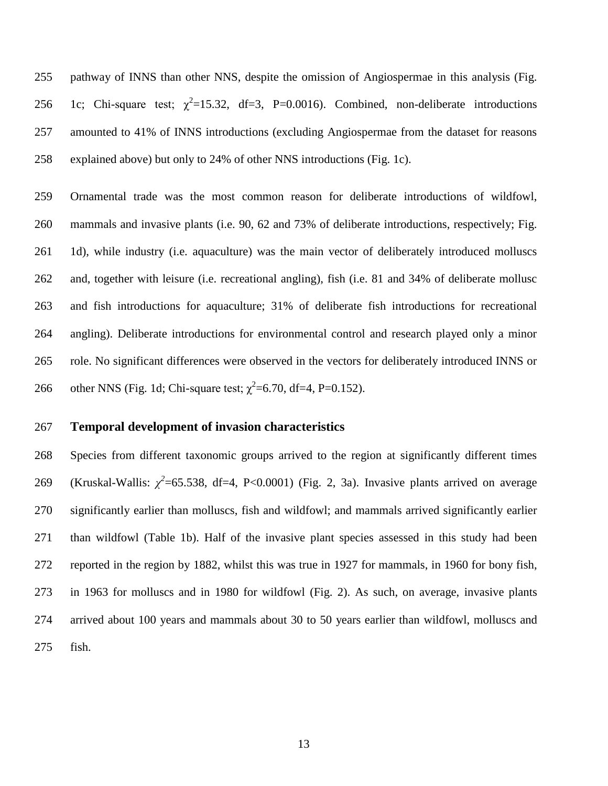pathway of INNS than other NNS, despite the omission of Angiospermae in this analysis (Fig. 256 1c; Chi-square test;  $\chi^2$ =15.32, df=3, P=0.0016). Combined, non-deliberate introductions amounted to 41% of INNS introductions (excluding Angiospermae from the dataset for reasons explained above) but only to 24% of other NNS introductions (Fig. 1c).

 Ornamental trade was the most common reason for deliberate introductions of wildfowl, mammals and invasive plants (i.e. 90, 62 and 73% of deliberate introductions, respectively; Fig. 1d), while industry (i.e. aquaculture) was the main vector of deliberately introduced molluscs and, together with leisure (i.e. recreational angling), fish (i.e. 81 and 34% of deliberate mollusc and fish introductions for aquaculture; 31% of deliberate fish introductions for recreational angling). Deliberate introductions for environmental control and research played only a minor role. No significant differences were observed in the vectors for deliberately introduced INNS or 266 other NNS (Fig. 1d; Chi-square test;  $\chi^2$ =6.70, df=4, P=0.152).

#### **Temporal development of invasion characteristics**

 Species from different taxonomic groups arrived to the region at significantly different times 269 (Kruskal-Wallis:  $\chi^2$ =65.538, df=4, P<0.0001) (Fig. 2, 3a). Invasive plants arrived on average significantly earlier than molluscs, fish and wildfowl; and mammals arrived significantly earlier than wildfowl (Table 1b). Half of the invasive plant species assessed in this study had been reported in the region by 1882, whilst this was true in 1927 for mammals, in 1960 for bony fish, in 1963 for molluscs and in 1980 for wildfowl (Fig. 2). As such, on average, invasive plants arrived about 100 years and mammals about 30 to 50 years earlier than wildfowl, molluscs and fish.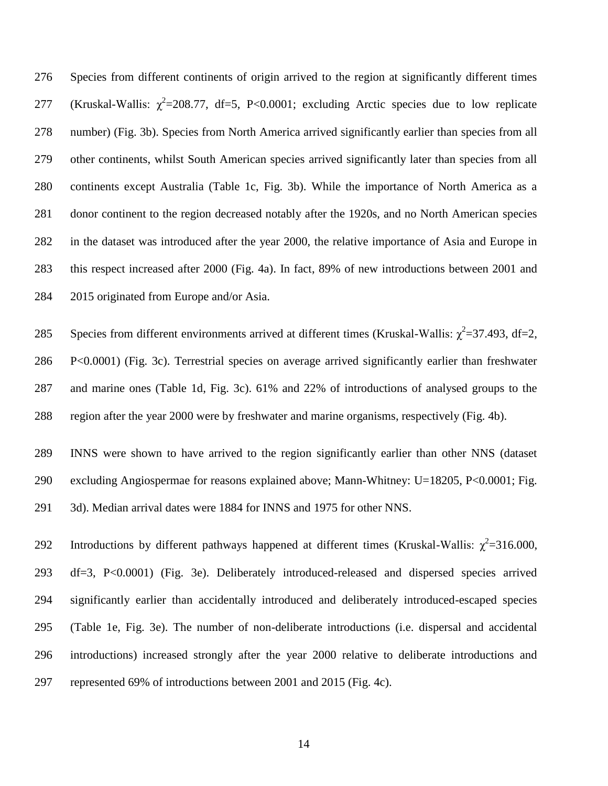Species from different continents of origin arrived to the region at significantly different times 277 (Kruskal-Wallis:  $\chi^2$ =208.77, df=5, P<0.0001; excluding Arctic species due to low replicate number) (Fig. 3b). Species from North America arrived significantly earlier than species from all other continents, whilst South American species arrived significantly later than species from all continents except Australia (Table 1c, Fig. 3b). While the importance of North America as a donor continent to the region decreased notably after the 1920s, and no North American species in the dataset was introduced after the year 2000, the relative importance of Asia and Europe in this respect increased after 2000 (Fig. 4a). In fact, 89% of new introductions between 2001 and 2015 originated from Europe and/or Asia.

285 Species from different environments arrived at different times (Kruskal-Wallis:  $\chi^2$ =37.493, df=2, P<0.0001) (Fig. 3c). Terrestrial species on average arrived significantly earlier than freshwater and marine ones (Table 1d, Fig. 3c). 61% and 22% of introductions of analysed groups to the region after the year 2000 were by freshwater and marine organisms, respectively (Fig. 4b).

 INNS were shown to have arrived to the region significantly earlier than other NNS (dataset excluding Angiospermae for reasons explained above; Mann-Whitney: U=18205, P<0.0001; Fig. 3d). Median arrival dates were 1884 for INNS and 1975 for other NNS.

292 Introductions by different pathways happened at different times (Kruskal-Wallis:  $\chi^2$ =316.000, df=3, P<0.0001) (Fig. 3e). Deliberately introduced-released and dispersed species arrived significantly earlier than accidentally introduced and deliberately introduced-escaped species (Table 1e, Fig. 3e). The number of non-deliberate introductions (i.e. dispersal and accidental introductions) increased strongly after the year 2000 relative to deliberate introductions and represented 69% of introductions between 2001 and 2015 (Fig. 4c).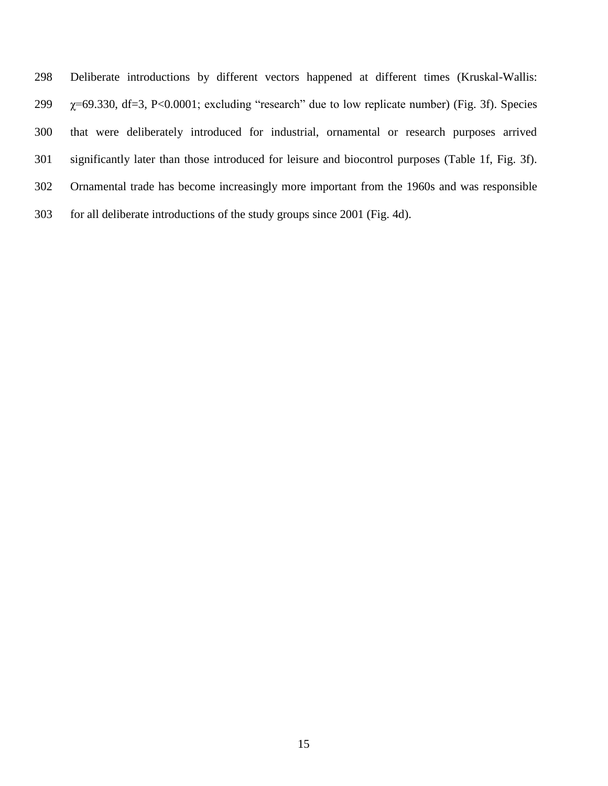Deliberate introductions by different vectors happened at different times (Kruskal-Wallis: χ=69.330, df=3, P<0.0001; excluding "research" due to low replicate number) (Fig. 3f). Species that were deliberately introduced for industrial, ornamental or research purposes arrived significantly later than those introduced for leisure and biocontrol purposes (Table 1f, Fig. 3f). Ornamental trade has become increasingly more important from the 1960s and was responsible for all deliberate introductions of the study groups since 2001 (Fig. 4d).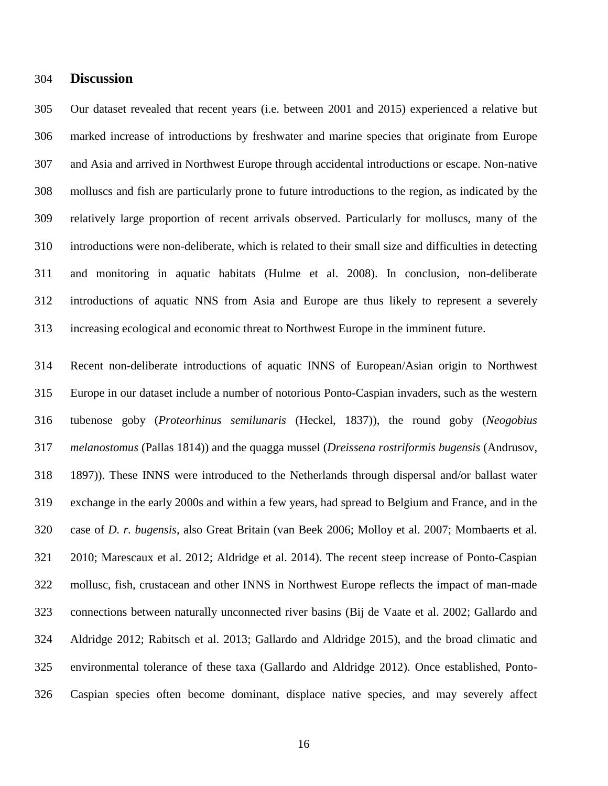#### **Discussion**

 Our dataset revealed that recent years (i.e. between 2001 and 2015) experienced a relative but marked increase of introductions by freshwater and marine species that originate from Europe and Asia and arrived in Northwest Europe through accidental introductions or escape. Non-native molluscs and fish are particularly prone to future introductions to the region, as indicated by the relatively large proportion of recent arrivals observed. Particularly for molluscs, many of the introductions were non-deliberate, which is related to their small size and difficulties in detecting and monitoring in aquatic habitats [\(Hulme et al. 2008\)](#page-21-7). In conclusion, non-deliberate introductions of aquatic NNS from Asia and Europe are thus likely to represent a severely increasing ecological and economic threat to Northwest Europe in the imminent future.

 Recent non-deliberate introductions of aquatic INNS of European/Asian origin to Northwest Europe in our dataset include a number of notorious Ponto-Caspian invaders, such as the western tubenose goby (*Proteorhinus semilunaris* (Heckel, 1837)), the round goby (*Neogobius melanostomus* (Pallas 1814)) and the quagga mussel (*Dreissena rostriformis bugensis* (Andrusov, 1897)). These INNS were introduced to the Netherlands through dispersal and/or ballast water exchange in the early 2000s and within a few years, had spread to Belgium and France, and in the case of *D. r. bugensis*, also Great Britain (van [Beek 2006;](#page-24-8) [Molloy et al. 2007;](#page-23-4) [Mombaerts et al.](#page-23-5)  [2010;](#page-23-5) [Marescaux et al. 2012;](#page-22-5) [Aldridge et al. 2014\)](#page-20-5). The recent steep increase of Ponto-Caspian mollusc, fish, crustacean and other INNS in Northwest Europe reflects the impact of man-made connections between naturally unconnected river basins [\(Bij de Vaate et al. 2002;](#page-20-6) [Gallardo and](#page-21-8)  [Aldridge 2012;](#page-21-8) [Rabitsch et al. 2013;](#page-23-6) [Gallardo and Aldridge 2015\)](#page-21-9), and the broad climatic and environmental tolerance of these taxa [\(Gallardo and Aldridge 2012\)](#page-21-8). Once established, Ponto-Caspian species often become dominant, displace native species, and may severely affect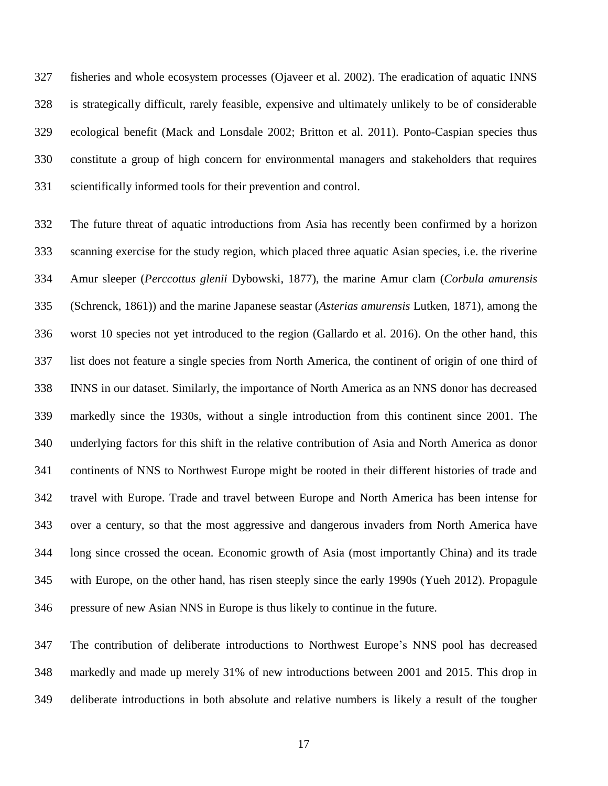fisheries and whole ecosystem processes [\(Ojaveer et al. 2002\)](#page-23-7). The eradication of aquatic INNS is strategically difficult, rarely feasible, expensive and ultimately unlikely to be of considerable ecological benefit [\(Mack and Lonsdale 2002;](#page-22-0) [Britton et al. 2011\)](#page-20-0). Ponto-Caspian species thus constitute a group of high concern for environmental managers and stakeholders that requires scientifically informed tools for their prevention and control.

 The future threat of aquatic introductions from Asia has recently been confirmed by a horizon scanning exercise for the study region, which placed three aquatic Asian species, i.e. the riverine Amur sleeper (*Perccottus glenii* Dybowski, 1877), the marine Amur clam (*Corbula amurensis* (Schrenck, 1861)) and the marine Japanese seastar (*Asterias amurensis* Lutken, 1871), among the worst 10 species not yet introduced to the region [\(Gallardo et al. 2016\)](#page-21-6). On the other hand, this list does not feature a single species from North America, the continent of origin of one third of INNS in our dataset. Similarly, the importance of North America as an NNS donor has decreased markedly since the 1930s, without a single introduction from this continent since 2001. The underlying factors for this shift in the relative contribution of Asia and North America as donor continents of NNS to Northwest Europe might be rooted in their different histories of trade and travel with Europe. Trade and travel between Europe and North America has been intense for over a century, so that the most aggressive and dangerous invaders from North America have long since crossed the ocean. Economic growth of Asia (most importantly China) and its trade with Europe, on the other hand, has risen steeply since the early 1990s [\(Yueh 2012\)](#page-24-9). Propagule pressure of new Asian NNS in Europe is thus likely to continue in the future.

 The contribution of deliberate introductions to Northwest Europe's NNS pool has decreased markedly and made up merely 31% of new introductions between 2001 and 2015. This drop in deliberate introductions in both absolute and relative numbers is likely a result of the tougher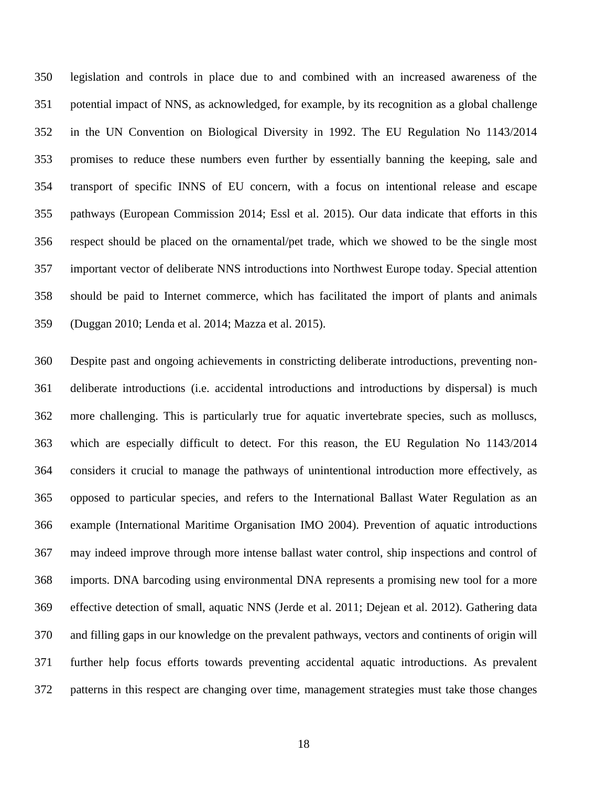legislation and controls in place due to and combined with an increased awareness of the potential impact of NNS, as acknowledged, for example, by its recognition as a global challenge in the UN Convention on Biological Diversity in 1992. The EU Regulation No 1143/2014 promises to reduce these numbers even further by essentially banning the keeping, sale and transport of specific INNS of EU concern, with a focus on intentional release and escape pathways [\(European Commission 2014;](#page-20-2) [Essl et al. 2015\)](#page-20-3). Our data indicate that efforts in this respect should be placed on the ornamental/pet trade, which we showed to be the single most important vector of deliberate NNS introductions into Northwest Europe today. Special attention should be paid to Internet commerce, which has facilitated the import of plants and animals [\(Duggan 2010;](#page-20-7) [Lenda et al. 2014;](#page-22-6) [Mazza et al. 2015\)](#page-23-8).

 Despite past and ongoing achievements in constricting deliberate introductions, preventing non- deliberate introductions (i.e. accidental introductions and introductions by dispersal) is much more challenging. This is particularly true for aquatic invertebrate species, such as molluscs, which are especially difficult to detect. For this reason, the EU Regulation No 1143/2014 considers it crucial to manage the pathways of unintentional introduction more effectively, as opposed to particular species, and refers to the International Ballast Water Regulation as an example [\(International Maritime Organisation IMO 2004\)](#page-22-7). Prevention of aquatic introductions may indeed improve through more intense ballast water control, ship inspections and control of imports. DNA barcoding using environmental DNA represents a promising new tool for a more effective detection of small, aquatic NNS [\(Jerde et al. 2011;](#page-22-8) [Dejean et al. 2012\)](#page-20-8). Gathering data and filling gaps in our knowledge on the prevalent pathways, vectors and continents of origin will further help focus efforts towards preventing accidental aquatic introductions. As prevalent patterns in this respect are changing over time, management strategies must take those changes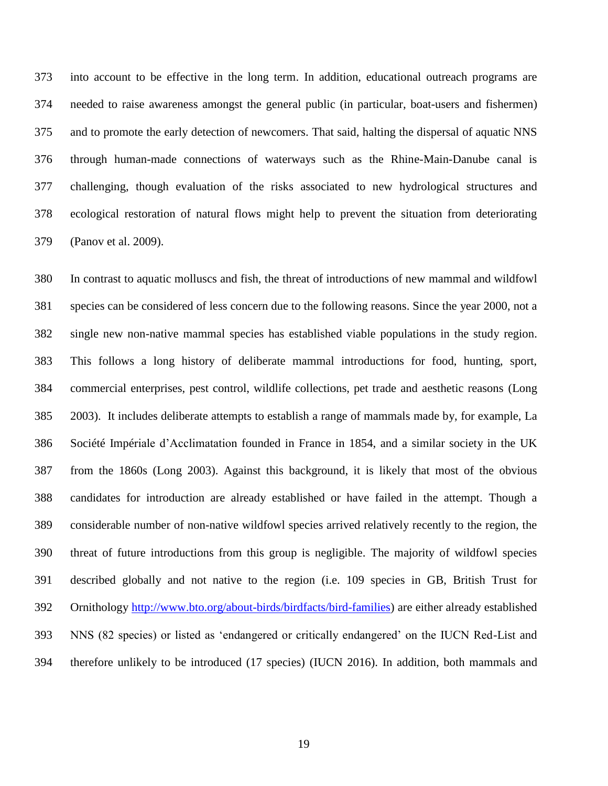into account to be effective in the long term. In addition, educational outreach programs are needed to raise awareness amongst the general public (in particular, boat-users and fishermen) and to promote the early detection of newcomers. That said, halting the dispersal of aquatic NNS through human-made connections of waterways such as the Rhine-Main-Danube canal is challenging, though evaluation of the risks associated to new hydrological structures and ecological restoration of natural flows might help to prevent the situation from deteriorating [\(Panov et al. 2009\)](#page-23-9).

 In contrast to aquatic molluscs and fish, the threat of introductions of new mammal and wildfowl species can be considered of less concern due to the following reasons. Since the year 2000, not a single new non-native mammal species has established viable populations in the study region. This follows a long history of deliberate mammal introductions for food, hunting, sport, commercial enterprises, pest control, wildlife collections, pet trade and aesthetic reasons [\(Long](#page-22-9)  [2003\)](#page-22-9). It includes deliberate attempts to establish a range of mammals made by, for example, La Société Impériale d'Acclimatation founded in France in 1854, and a similar society in the UK from the 1860s [\(Long 2003\)](#page-22-9). Against this background, it is likely that most of the obvious candidates for introduction are already established or have failed in the attempt. Though a considerable number of non-native wildfowl species arrived relatively recently to the region, the threat of future introductions from this group is negligible. The majority of wildfowl species described globally and not native to the region (i.e. 109 species in GB, British Trust for Ornithology [http://www.bto.org/about-birds/birdfacts/bird-families\)](http://www.bto.org/about-birds/birdfacts/bird-families) are either already established NNS (82 species) or listed as 'endangered or critically endangered' on the IUCN Red-List and therefore unlikely to be introduced (17 species) [\(IUCN 2016\)](#page-22-10). In addition, both mammals and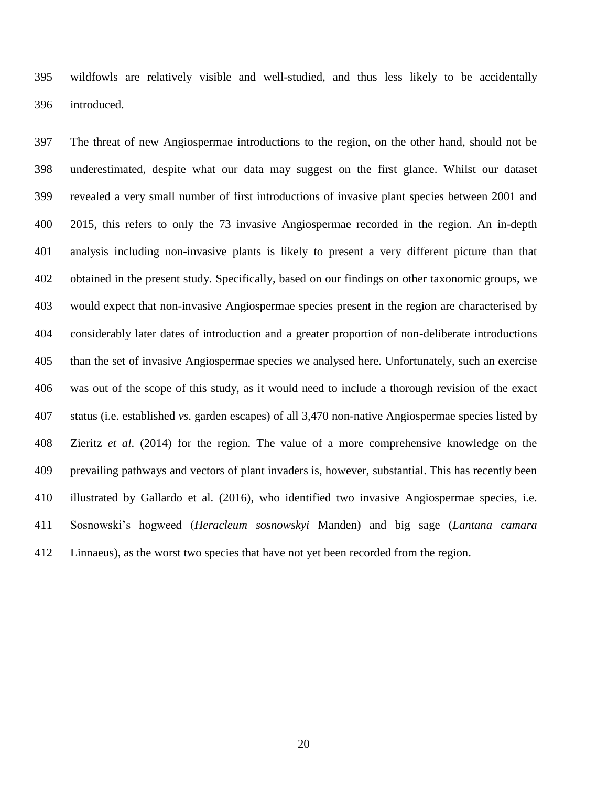wildfowls are relatively visible and well-studied, and thus less likely to be accidentally introduced.

 The threat of new Angiospermae introductions to the region, on the other hand, should not be underestimated, despite what our data may suggest on the first glance. Whilst our dataset revealed a very small number of first introductions of invasive plant species between 2001 and 2015, this refers to only the 73 invasive Angiospermae recorded in the region. An in-depth analysis including non-invasive plants is likely to present a very different picture than that obtained in the present study. Specifically, based on our findings on other taxonomic groups, we would expect that non-invasive Angiospermae species present in the region are characterised by considerably later dates of introduction and a greater proportion of non-deliberate introductions than the set of invasive Angiospermae species we analysed here. Unfortunately, such an exercise was out of the scope of this study, as it would need to include a thorough revision of the exact status (i.e. established *vs*. garden escapes) of all 3,470 non-native Angiospermae species listed by Zieritz *et al*. (2014) for the region. The value of a more comprehensive knowledge on the prevailing pathways and vectors of plant invaders is, however, substantial. This has recently been illustrated by [Gallardo et al. \(2016\),](#page-21-6) who identified two invasive Angiospermae species, i.e. Sosnowski's hogweed (*Heracleum sosnowskyi* Manden) and big sage (*Lantana camara* Linnaeus), as the worst two species that have not yet been recorded from the region.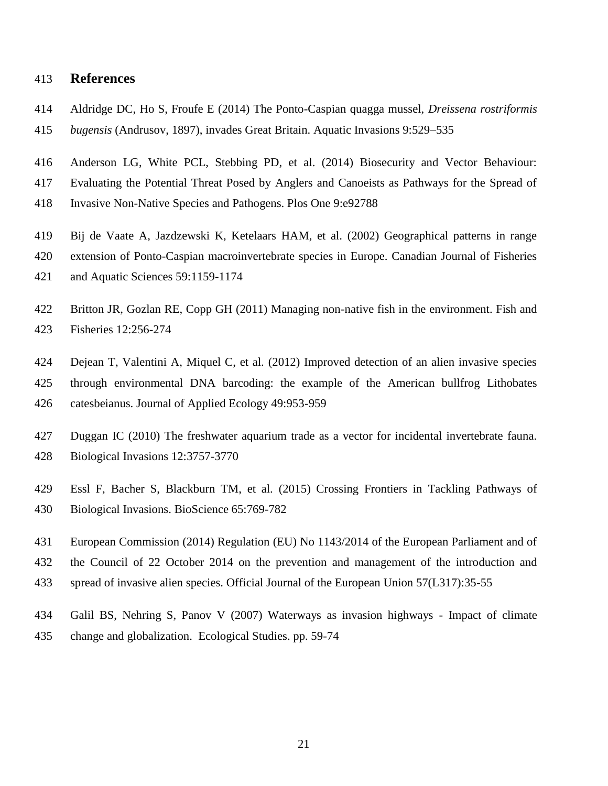#### **References**

- <span id="page-20-5"></span>Aldridge DC, Ho S, Froufe E (2014) The Ponto-Caspian quagga mussel, *Dreissena rostriformis*
- *bugensis* (Andrusov, 1897), invades Great Britain. Aquatic Invasions 9:529–535
- <span id="page-20-1"></span>Anderson LG, White PCL, Stebbing PD, et al. (2014) Biosecurity and Vector Behaviour:
- Evaluating the Potential Threat Posed by Anglers and Canoeists as Pathways for the Spread of
- Invasive Non-Native Species and Pathogens. Plos One 9:e92788
- <span id="page-20-6"></span>Bij de Vaate A, Jazdzewski K, Ketelaars HAM, et al. (2002) Geographical patterns in range
- extension of Ponto-Caspian macroinvertebrate species in Europe. Canadian Journal of Fisheries
- and Aquatic Sciences 59:1159-1174
- <span id="page-20-0"></span>422 Britton JR, Gozlan RE, Copp GH (2011) Managing non-native fish in the environment. Fish and Fisheries 12:256-274
- <span id="page-20-8"></span> Dejean T, Valentini A, Miquel C, et al. (2012) Improved detection of an alien invasive species through environmental DNA barcoding: the example of the American bullfrog Lithobates catesbeianus. Journal of Applied Ecology 49:953-959
- <span id="page-20-7"></span> Duggan IC (2010) The freshwater aquarium trade as a vector for incidental invertebrate fauna. Biological Invasions 12:3757-3770
- <span id="page-20-3"></span> Essl F, Bacher S, Blackburn TM, et al. (2015) Crossing Frontiers in Tackling Pathways of Biological Invasions. BioScience 65:769-782
- <span id="page-20-2"></span> European Commission (2014) Regulation (EU) No 1143/2014 of the European Parliament and of the Council of 22 October 2014 on the prevention and management of the introduction and spread of invasive alien species. Official Journal of the European Union 57(L317):35-55
- <span id="page-20-4"></span> Galil BS, Nehring S, Panov V (2007) Waterways as invasion highways - Impact of climate change and globalization. Ecological Studies. pp. 59-74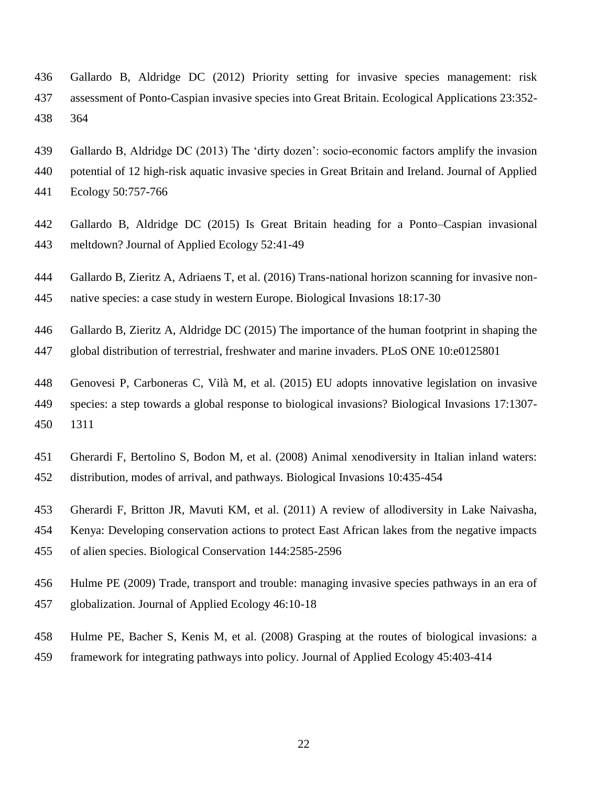- <span id="page-21-8"></span> Gallardo B, Aldridge DC (2012) Priority setting for invasive species management: risk assessment of Ponto-Caspian invasive species into Great Britain. Ecological Applications 23:352- 364
- <span id="page-21-4"></span> Gallardo B, Aldridge DC (2013) The 'dirty dozen': socio-economic factors amplify the invasion potential of 12 high-risk aquatic invasive species in Great Britain and Ireland. Journal of Applied Ecology 50:757-766
- <span id="page-21-9"></span> Gallardo B, Aldridge DC (2015) Is Great Britain heading for a Ponto–Caspian invasional meltdown? Journal of Applied Ecology 52:41-49
- <span id="page-21-6"></span>Gallardo B, Zieritz A, Adriaens T, et al. (2016) Trans-national horizon scanning for invasive non-
- native species: a case study in western Europe. Biological Invasions 18:17-30
- <span id="page-21-5"></span>Gallardo B, Zieritz A, Aldridge DC (2015) The importance of the human footprint in shaping the
- global distribution of terrestrial, freshwater and marine invaders. PLoS ONE 10:e0125801
- <span id="page-21-0"></span> Genovesi P, Carboneras C, Vilà M, et al. (2015) EU adopts innovative legislation on invasive species: a step towards a global response to biological invasions? Biological Invasions 17:1307- 1311
- <span id="page-21-2"></span>Gherardi F, Bertolino S, Bodon M, et al. (2008) Animal xenodiversity in Italian inland waters:
- distribution, modes of arrival, and pathways. Biological Invasions 10:435-454
- <span id="page-21-3"></span>Gherardi F, Britton JR, Mavuti KM, et al. (2011) A review of allodiversity in Lake Naivasha,
- Kenya: Developing conservation actions to protect East African lakes from the negative impacts
- of alien species. Biological Conservation 144:2585-2596
- <span id="page-21-1"></span> Hulme PE (2009) Trade, transport and trouble: managing invasive species pathways in an era of globalization. Journal of Applied Ecology 46:10-18
- <span id="page-21-7"></span>Hulme PE, Bacher S, Kenis M, et al. (2008) Grasping at the routes of biological invasions: a
- framework for integrating pathways into policy. Journal of Applied Ecology 45:403-414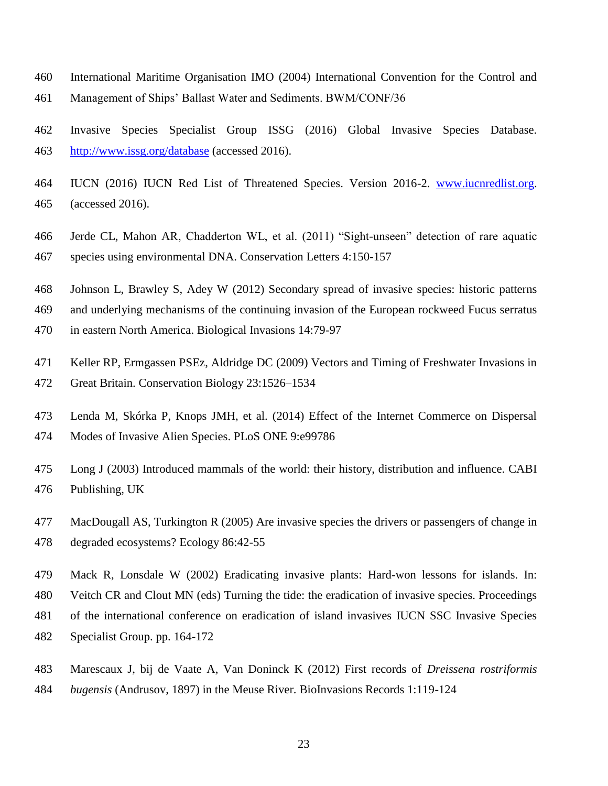- <span id="page-22-7"></span> International Maritime Organisation IMO (2004) International Convention for the Control and Management of Ships' Ballast Water and Sediments. BWM/CONF/36
- <span id="page-22-2"></span> Invasive Species Specialist Group ISSG (2016) Global Invasive Species Database. <http://www.issg.org/database> (accessed 2016).
- <span id="page-22-10"></span> IUCN (2016) IUCN Red List of Threatened Species. Version 2016-2. [www.iucnredlist.org.](http://www.iucnredlist.org/) (accessed 2016).
- <span id="page-22-8"></span> Jerde CL, Mahon AR, Chadderton WL, et al. (2011) "Sight-unseen" detection of rare aquatic species using environmental DNA. Conservation Letters 4:150-157
- <span id="page-22-4"></span>Johnson L, Brawley S, Adey W (2012) Secondary spread of invasive species: historic patterns
- and underlying mechanisms of the continuing invasion of the European rockweed Fucus serratus
- in eastern North America. Biological Invasions 14:79-97
- <span id="page-22-1"></span> Keller RP, Ermgassen PSEz, Aldridge DC (2009) Vectors and Timing of Freshwater Invasions in Great Britain. Conservation Biology 23:1526–1534
- <span id="page-22-6"></span> Lenda M, Skórka P, Knops JMH, et al. (2014) Effect of the Internet Commerce on Dispersal Modes of Invasive Alien Species. PLoS ONE 9:e99786
- <span id="page-22-9"></span> Long J (2003) Introduced mammals of the world: their history, distribution and influence. CABI Publishing, UK
- <span id="page-22-3"></span> MacDougall AS, Turkington R (2005) Are invasive species the drivers or passengers of change in degraded ecosystems? Ecology 86:42-55
- <span id="page-22-0"></span> Mack R, Lonsdale W (2002) Eradicating invasive plants: Hard-won lessons for islands. In: Veitch CR and Clout MN (eds) Turning the tide: the eradication of invasive species. Proceedings of the international conference on eradication of island invasives IUCN SSC Invasive Species Specialist Group. pp. 164-172
- <span id="page-22-5"></span> Marescaux J, bij de Vaate A, Van Doninck K (2012) First records of *Dreissena rostriformis bugensis* (Andrusov, 1897) in the Meuse River. BioInvasions Records 1:119-124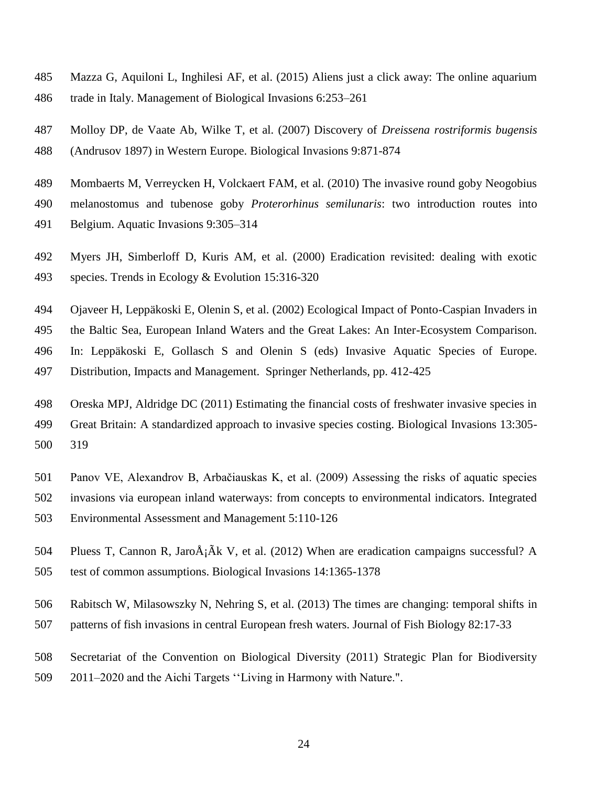- <span id="page-23-8"></span>Mazza G, Aquiloni L, Inghilesi AF, et al. (2015) Aliens just a click away: The online aquarium
- trade in Italy. Management of Biological Invasions 6:253–261
- <span id="page-23-4"></span> Molloy DP, de Vaate Ab, Wilke T, et al. (2007) Discovery of *Dreissena rostriformis bugensis* (Andrusov 1897) in Western Europe. Biological Invasions 9:871-874
- <span id="page-23-5"></span>Mombaerts M, Verreycken H, Volckaert FAM, et al. (2010) The invasive round goby Neogobius
- melanostomus and tubenose goby *Proterorhinus semilunaris*: two introduction routes into
- Belgium. Aquatic Invasions 9:305–314
- <span id="page-23-0"></span> Myers JH, Simberloff D, Kuris AM, et al. (2000) Eradication revisited: dealing with exotic species. Trends in Ecology & Evolution 15:316-320
- <span id="page-23-7"></span>Ojaveer H, Leppäkoski E, Olenin S, et al. (2002) Ecological Impact of Ponto-Caspian Invaders in
- the Baltic Sea, European Inland Waters and the Great Lakes: An Inter-Ecosystem Comparison.
- In: Leppäkoski E, Gollasch S and Olenin S (eds) Invasive Aquatic Species of Europe. Distribution, Impacts and Management. Springer Netherlands, pp. 412-425
- <span id="page-23-1"></span> Oreska MPJ, Aldridge DC (2011) Estimating the financial costs of freshwater invasive species in Great Britain: A standardized approach to invasive species costing. Biological Invasions 13:305- 319
- <span id="page-23-9"></span> Panov VE, Alexandrov B, Arbačiauskas K, et al. (2009) Assessing the risks of aquatic species invasions via european inland waterways: from concepts to environmental indicators. Integrated Environmental Assessment and Management 5:110-126
- <span id="page-23-2"></span>504 Pluess T, Cannon R, Jaro $\AA$ ; $\AA$ k V, et al. (2012) When are eradication campaigns successful? A test of common assumptions. Biological Invasions 14:1365-1378
- <span id="page-23-6"></span>Rabitsch W, Milasowszky N, Nehring S, et al. (2013) The times are changing: temporal shifts in
- patterns of fish invasions in central European fresh waters. Journal of Fish Biology 82:17-33
- <span id="page-23-3"></span> Secretariat of the Convention on Biological Diversity (2011) Strategic Plan for Biodiversity 2011–2020 and the Aichi Targets ''Living in Harmony with Nature.".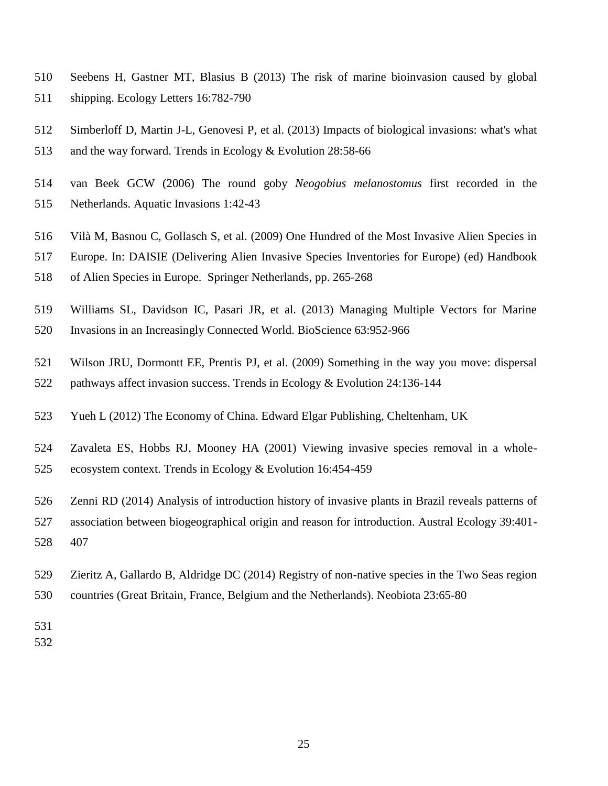- <span id="page-24-7"></span> Seebens H, Gastner MT, Blasius B (2013) The risk of marine bioinvasion caused by global shipping. Ecology Letters 16:782-790
- <span id="page-24-0"></span>Simberloff D, Martin J-L, Genovesi P, et al. (2013) Impacts of biological invasions: what's what
- and the way forward. Trends in Ecology & Evolution 28:58-66
- <span id="page-24-8"></span> van Beek GCW (2006) The round goby *Neogobius melanostomus* first recorded in the Netherlands. Aquatic Invasions 1:42-43
- <span id="page-24-5"></span>Vilà M, Basnou C, Gollasch S, et al. (2009) One Hundred of the Most Invasive Alien Species in
- Europe. In: DAISIE (Delivering Alien Invasive Species Inventories for Europe) (ed) Handbook
- of Alien Species in Europe. Springer Netherlands, pp. 265-268
- <span id="page-24-3"></span>Williams SL, Davidson IC, Pasari JR, et al. (2013) Managing Multiple Vectors for Marine
- Invasions in an Increasingly Connected World. BioScience 63:952-966
- <span id="page-24-4"></span> Wilson JRU, Dormontt EE, Prentis PJ, et al. (2009) Something in the way you move: dispersal pathways affect invasion success. Trends in Ecology & Evolution 24:136-144
- <span id="page-24-9"></span>Yueh L (2012) The Economy of China. Edward Elgar Publishing, Cheltenham, UK
- <span id="page-24-1"></span> Zavaleta ES, Hobbs RJ, Mooney HA (2001) Viewing invasive species removal in a whole-ecosystem context. Trends in Ecology & Evolution 16:454-459
- <span id="page-24-2"></span> Zenni RD (2014) Analysis of introduction history of invasive plants in Brazil reveals patterns of association between biogeographical origin and reason for introduction. Austral Ecology 39:401- 407
- <span id="page-24-6"></span> Zieritz A, Gallardo B, Aldridge DC (2014) Registry of non-native species in the Two Seas region countries (Great Britain, France, Belgium and the Netherlands). Neobiota 23:65-80
- 
-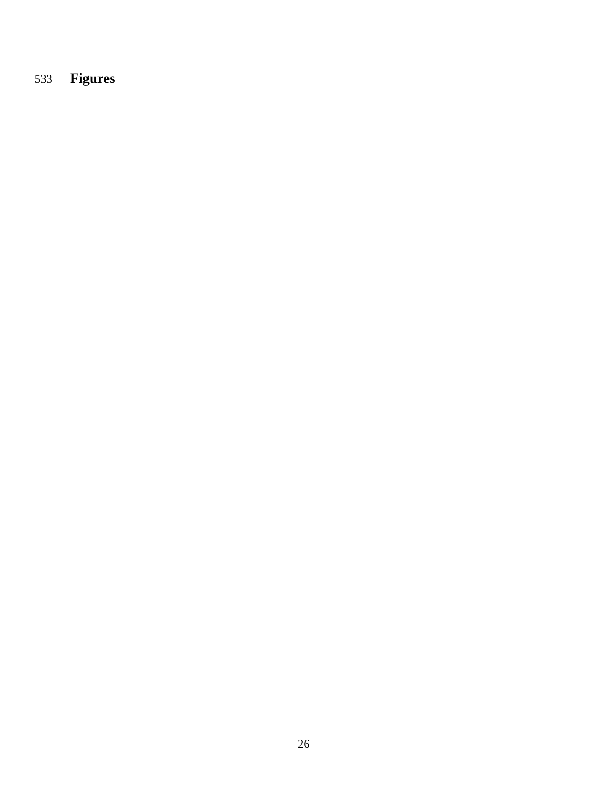# **Figures**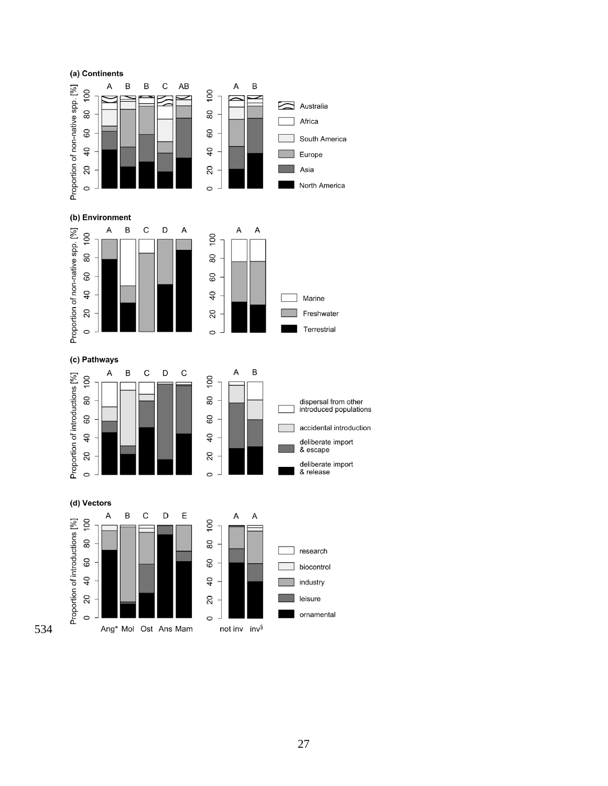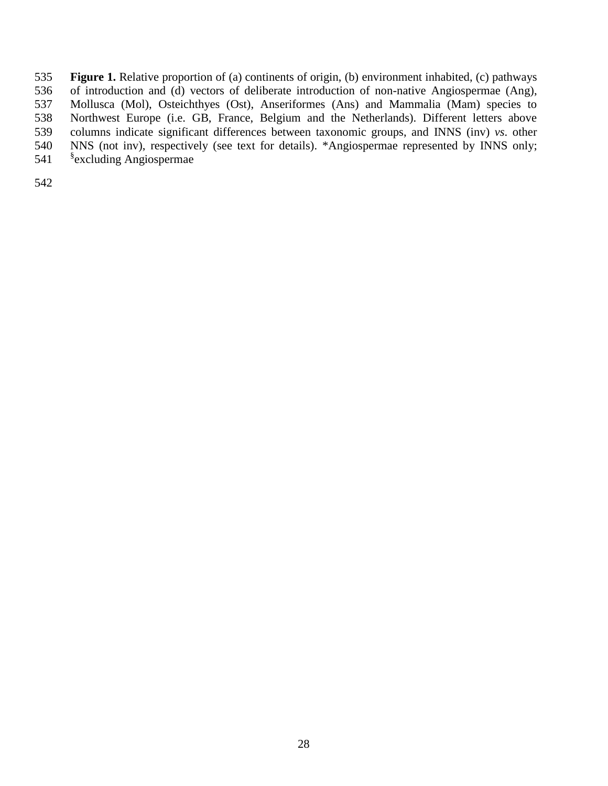**Figure 1.** Relative proportion of (a) continents of origin, (b) environment inhabited, (c) pathways of introduction and (d) vectors of deliberate introduction of non-native Angiospermae (Ang), Mollusca (Mol), Osteichthyes (Ost), Anseriformes (Ans) and Mammalia (Mam) species to 538 Northwest Europe (i.e. GB, France, Belgium and the Netherlands). Different letters above<br>539 columns indicate significant differences between taxonomic groups, and INNS (inv) vs. other columns indicate significant differences between taxonomic groups, and INNS (inv) *vs*. other NNS (not inv), respectively (see text for details). \*Angiospermae represented by INNS only; 541 <sup>§</sup>excluding Angiospermae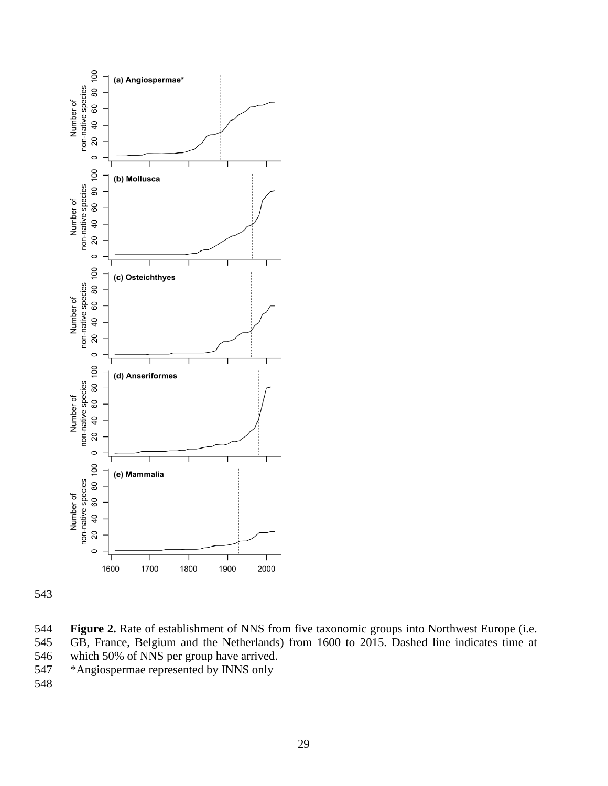



**Figure 2.** Rate of establishment of NNS from five taxonomic groups into Northwest Europe (i.e. 545 GB, France, Belgium and the Netherlands) from 1600 to 2015. Dashed line indicates time at GB, France, Belgium and the Netherlands) from 1600 to 2015. Dashed line indicates time at which 50% of NNS per group have arrived.

- \*Angiospermae represented by INNS only
-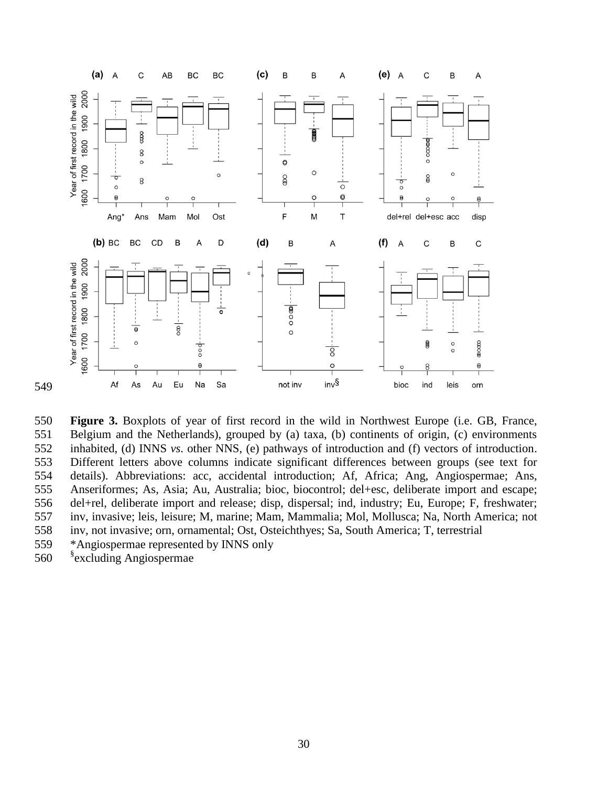

 **Figure 3.** Boxplots of year of first record in the wild in Northwest Europe (i.e. GB, France, Belgium and the Netherlands), grouped by (a) taxa, (b) continents of origin, (c) environments inhabited, (d) INNS *vs*. other NNS, (e) pathways of introduction and (f) vectors of introduction. Different letters above columns indicate significant differences between groups (see text for details). Abbreviations: acc, accidental introduction; Af, Africa; Ang, Angiospermae; Ans, Anseriformes; As, Asia; Au, Australia; bioc, biocontrol; del+esc, deliberate import and escape; del+rel, deliberate import and release; disp, dispersal; ind, industry; Eu, Europe; F, freshwater; inv, invasive; leis, leisure; M, marine; Mam, Mammalia; Mol, Mollusca; Na, North America; not inv, not invasive; orn, ornamental; Ost, Osteichthyes; Sa, South America; T, terrestrial

- \*Angiospermae represented by INNS only
- 560 <sup>§</sup>excluding Angiospermae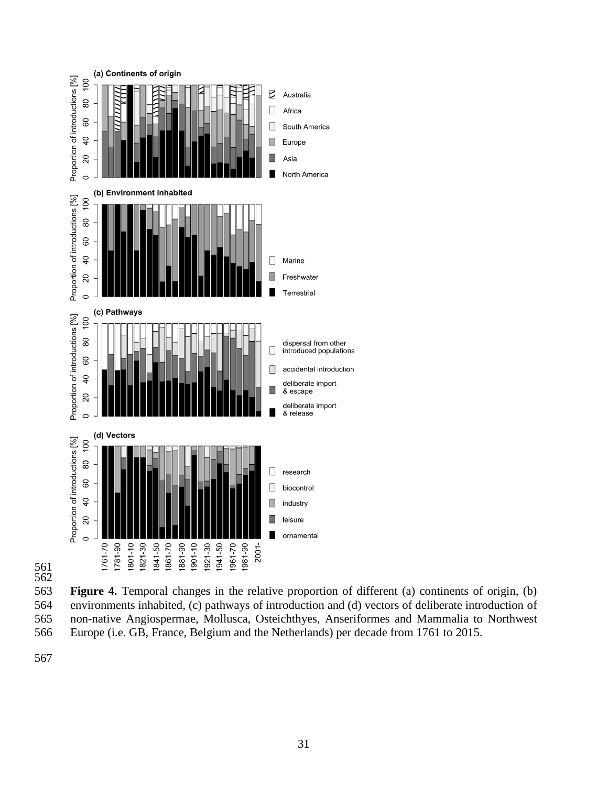

 

 **Figure 4.** Temporal changes in the relative proportion of different (a) continents of origin, (b) environments inhabited, (c) pathways of introduction and (d) vectors of deliberate introduction of non-native Angiospermae, Mollusca, Osteichthyes, Anseriformes and Mammalia to Northwest Europe (i.e. GB, France, Belgium and the Netherlands) per decade from 1761 to 2015.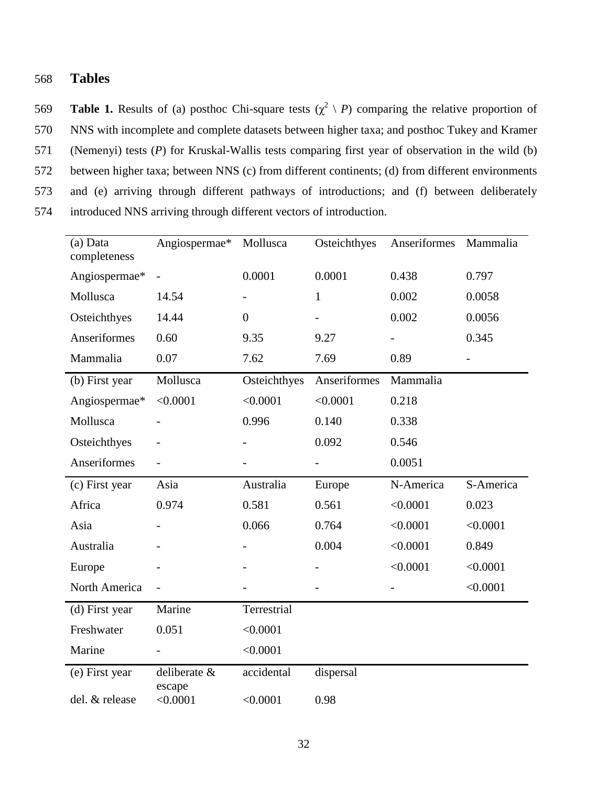## 568 **Tables**

**Table 1.** Results of (a) posthoc Chi-square tests  $(\chi^2 \nmid P)$  comparing the relative proportion of 570 NNS with incomplete and complete datasets between higher taxa; and posthoc Tukey and Kramer 571 (Nemenyi) tests (*P*) for Kruskal-Wallis tests comparing first year of observation in the wild (b) 572 between higher taxa; between NNS (c) from different continents; (d) from different environments 573 and (e) arriving through different pathways of introductions; and (f) between deliberately 574 introduced NNS arriving through different vectors of introduction.

| (a) Data<br>completeness | Angiospermae*            | Mollusca       | Osteichthyes             | Anseriformes | Mammalia  |
|--------------------------|--------------------------|----------------|--------------------------|--------------|-----------|
| Angiospermae*            |                          | 0.0001         | 0.0001                   | 0.438        | 0.797     |
| Mollusca                 | 14.54                    |                | $\mathbf{1}$             | 0.002        | 0.0058    |
| Osteichthyes             | 14.44                    | $\overline{0}$ |                          | 0.002        | 0.0056    |
| Anseriformes             | 0.60                     | 9.35           | 9.27                     |              | 0.345     |
| Mammalia                 | 0.07                     | 7.62           | 7.69                     | 0.89         |           |
| (b) First year           | Mollusca                 | Osteichthyes   | Anseriformes             | Mammalia     |           |
| Angiospermae*            | < 0.0001                 | < 0.0001       | < 0.0001                 | 0.218        |           |
| Mollusca                 |                          | 0.996          | 0.140                    | 0.338        |           |
| Osteichthyes             |                          |                | 0.092                    | 0.546        |           |
| Anseriformes             | $\overline{\phantom{0}}$ |                | $\overline{\phantom{a}}$ | 0.0051       |           |
| (c) First year           | Asia                     | Australia      | Europe                   | N-America    | S-America |
| Africa                   | 0.974                    | 0.581          | 0.561                    | < 0.0001     | 0.023     |
| Asia                     |                          | 0.066          | 0.764                    | < 0.0001     | < 0.0001  |
| Australia                |                          |                | 0.004                    | < 0.0001     | 0.849     |
| Europe                   |                          |                |                          | < 0.0001     | < 0.0001  |
| North America            | $\qquad \qquad -$        |                |                          |              | < 0.0001  |
| (d) First year           | Marine                   | Terrestrial    |                          |              |           |
| Freshwater               | 0.051                    | < 0.0001       |                          |              |           |
| Marine                   |                          | < 0.0001       |                          |              |           |
| (e) First year           | deliberate &<br>escape   | accidental     | dispersal                |              |           |
| del. & release           | < 0.0001                 | < 0.0001       | 0.98                     |              |           |